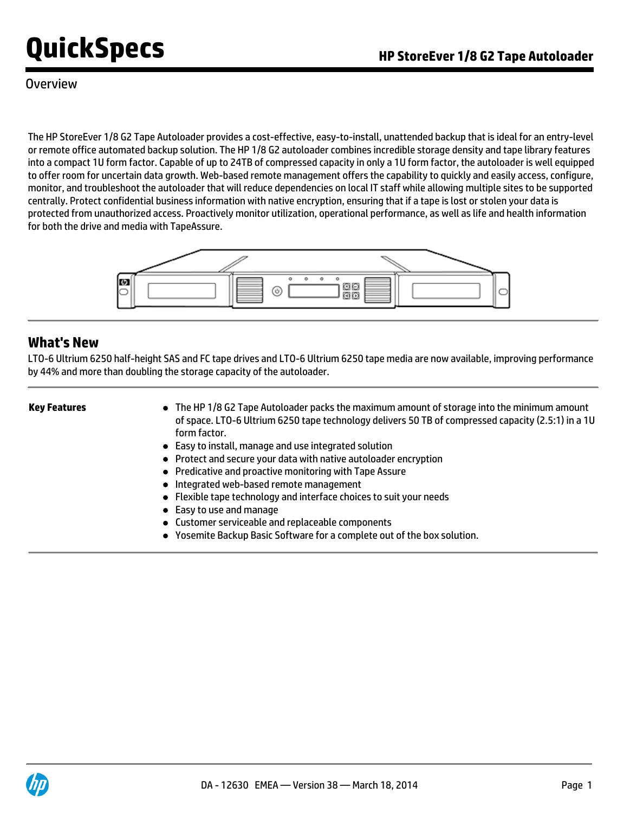### **Overview**

The HP StoreEver 1/8 G2 Tape Autoloader provides a cost-effective, easy-to-install, unattended backup that is ideal for an entry-level or remote office automated backup solution. The HP 1/8 G2 autoloader combines incredible storage density and tape library features into a compact 1U form factor. Capable of up to 24TB of compressed capacity in only a 1U form factor, the autoloader is well equipped to offer room for uncertain data growth. Web-based remote management offers the capability to quickly and easily access, configure, monitor, and troubleshoot the autoloader that will reduce dependencies on local IT staff while allowing multiple sites to be supported centrally. Protect confidential business information with native encryption, ensuring that if a tape is lost or stolen your data is protected from unauthorized access. Proactively monitor utilization, operational performance, as well as life and health information for both the drive and media with TapeAssure.



### **What's New**

LTO-6 Ultrium 6250 half-height SAS and FC tape drives and LTO-6 Ultrium 6250 tape media are now available, improving performance by 44% and more than doubling the storage capacity of the autoloader.

- **Key Features The HP 1/8 G2 Tape Autoloader packs the maximum amount of storage into the minimum amount of storage into the minimum amount** of space. LTO-6 Ultrium 6250 tape technology delivers 50 TB of compressed capacity (2.5:1) in a 1U form factor.
	- Easy to install, manage and use integrated solution
	- Protect and secure your data with native autoloader encryption
	- Predicative and proactive monitoring with Tape Assure
	- Integrated web-based remote management
	- Flexible tape technology and interface choices to suit your needs
	- Easy to use and manage
	- Customer serviceable and replaceable components
	- Yosemite Backup Basic Software for a complete out of the box solution.

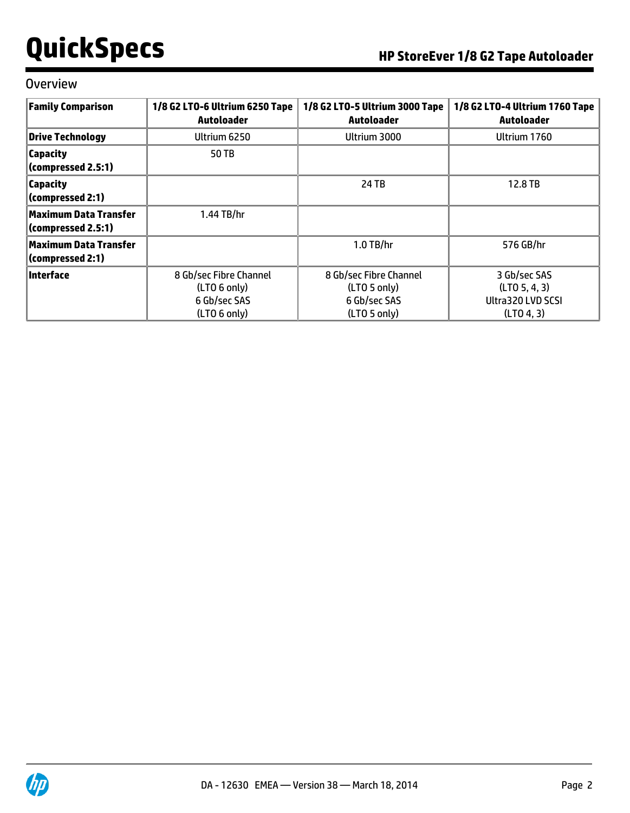### **Overview**

| <b>Family Comparison</b>                           | 1/8 G2 LTO-6 Ultrium 6250 Tape<br><b>Autoloader</b>                    | 1/8 G2 LTO-5 Ultrium 3000 Tape<br><b>Autoloader</b>                                | 1/8 G2 LTO-4 Ultrium 1760 Tape<br>Autoloader                     |
|----------------------------------------------------|------------------------------------------------------------------------|------------------------------------------------------------------------------------|------------------------------------------------------------------|
| <b>Drive Technology</b>                            | Ultrium 6250                                                           | Ultrium 3000                                                                       | Ultrium 1760                                                     |
| <b>Capacity</b><br>(compressed 2.5:1)              | 50 TB                                                                  |                                                                                    |                                                                  |
| <b>Capacity</b><br>(compressed 2:1)                |                                                                        | 24 TB                                                                              | 12.8 TB                                                          |
| <b>Maximum Data Transfer</b><br>(compressed 2.5:1) | 1.44 TB/hr                                                             |                                                                                    |                                                                  |
| <b>Maximum Data Transfer</b><br>(compressed 2:1)   |                                                                        | $1.0$ TB/hr                                                                        | 576 GB/hr                                                        |
| Interface                                          | 8 Gb/sec Fibre Channel<br>(LTO 6 only)<br>6 Gb/sec SAS<br>(LTO 6 only) | 8 Gb/sec Fibre Channel<br>(LTO 5 0 nIy)<br>6 Gb/sec SAS<br>(LTO <sub>5</sub> only) | 3 Gb/sec SAS<br>(LTO 5, 4, 3)<br>Ultra320 LVD SCSI<br>(LTO 4, 3) |

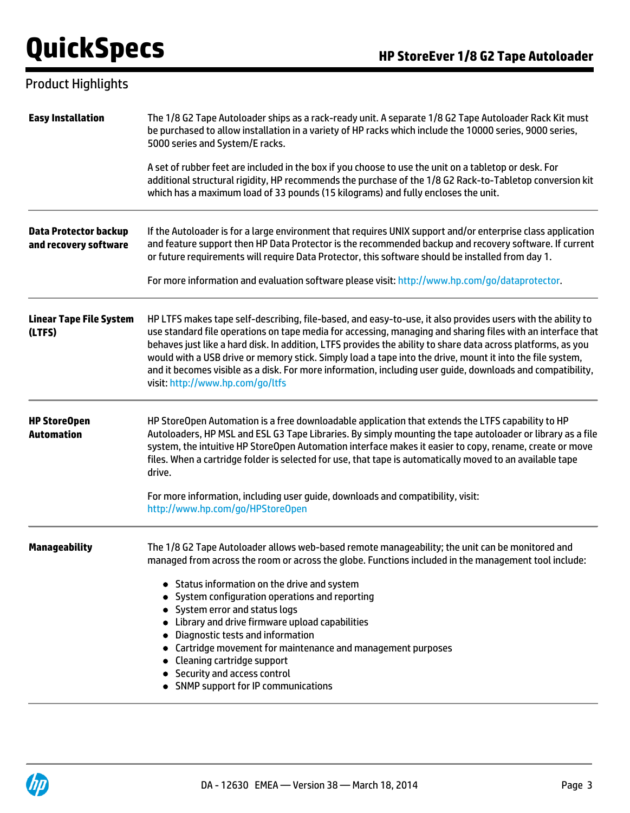## Product Highlights

| <b>Easy Installation</b>                              | The 1/8 G2 Tape Autoloader ships as a rack-ready unit. A separate 1/8 G2 Tape Autoloader Rack Kit must<br>be purchased to allow installation in a variety of HP racks which include the 10000 series, 9000 series,<br>5000 series and System/E racks.                                                                                                                                                                                                                                                                                                                                                         |
|-------------------------------------------------------|---------------------------------------------------------------------------------------------------------------------------------------------------------------------------------------------------------------------------------------------------------------------------------------------------------------------------------------------------------------------------------------------------------------------------------------------------------------------------------------------------------------------------------------------------------------------------------------------------------------|
|                                                       | A set of rubber feet are included in the box if you choose to use the unit on a tabletop or desk. For<br>additional structural rigidity, HP recommends the purchase of the 1/8 G2 Rack-to-Tabletop conversion kit<br>which has a maximum load of 33 pounds (15 kilograms) and fully encloses the unit.                                                                                                                                                                                                                                                                                                        |
| <b>Data Protector backup</b><br>and recovery software | If the Autoloader is for a large environment that requires UNIX support and/or enterprise class application<br>and feature support then HP Data Protector is the recommended backup and recovery software. If current<br>or future requirements will require Data Protector, this software should be installed from day 1.                                                                                                                                                                                                                                                                                    |
|                                                       | For more information and evaluation software please visit: http://www.hp.com/go/dataprotector.                                                                                                                                                                                                                                                                                                                                                                                                                                                                                                                |
| <b>Linear Tape File System</b><br>(LTFS)              | HP LTFS makes tape self-describing, file-based, and easy-to-use, it also provides users with the ability to<br>use standard file operations on tape media for accessing, managing and sharing files with an interface that<br>behaves just like a hard disk. In addition, LTFS provides the ability to share data across platforms, as you<br>would with a USB drive or memory stick. Simply load a tape into the drive, mount it into the file system,<br>and it becomes visible as a disk. For more information, including user guide, downloads and compatibility,<br>visit: http://www.hp.com/go/ltfs     |
| <b>HP StoreOpen</b><br><b>Automation</b>              | HP StoreOpen Automation is a free downloadable application that extends the LTFS capability to HP<br>Autoloaders, HP MSL and ESL G3 Tape Libraries. By simply mounting the tape autoloader or library as a file<br>system, the intuitive HP StoreOpen Automation interface makes it easier to copy, rename, create or move<br>files. When a cartridge folder is selected for use, that tape is automatically moved to an available tape<br>drive.                                                                                                                                                             |
|                                                       | For more information, including user guide, downloads and compatibility, visit:<br>http://www.hp.com/go/HPStoreOpen                                                                                                                                                                                                                                                                                                                                                                                                                                                                                           |
| Manageability                                         | The 1/8 G2 Tape Autoloader allows web-based remote manageability; the unit can be monitored and<br>managed from across the room or across the globe. Functions included in the management tool include:<br>Status information on the drive and system<br>• System configuration operations and reporting<br>• System error and status logs<br>• Library and drive firmware upload capabilities<br>• Diagnostic tests and information<br>• Cartridge movement for maintenance and management purposes<br>• Cleaning cartridge support<br>• Security and access control<br>• SNMP support for IP communications |

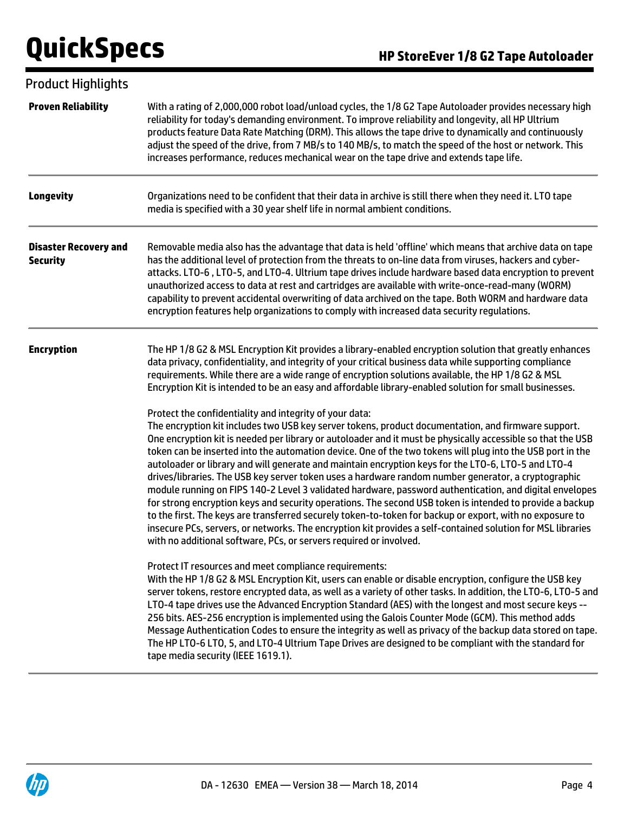| <b>Product Highlights</b>                       |                                                                                                                                                                                                                                                                                                                                                                                                                                                                                                                                                                                                                                                                                                                                                                                                                                                                                                                                                                                                                                                                                                                                                                                                                                                                                                                                                                                                                                                                                                                                                                                                                                                                                                                                                                                                                                                             |
|-------------------------------------------------|-------------------------------------------------------------------------------------------------------------------------------------------------------------------------------------------------------------------------------------------------------------------------------------------------------------------------------------------------------------------------------------------------------------------------------------------------------------------------------------------------------------------------------------------------------------------------------------------------------------------------------------------------------------------------------------------------------------------------------------------------------------------------------------------------------------------------------------------------------------------------------------------------------------------------------------------------------------------------------------------------------------------------------------------------------------------------------------------------------------------------------------------------------------------------------------------------------------------------------------------------------------------------------------------------------------------------------------------------------------------------------------------------------------------------------------------------------------------------------------------------------------------------------------------------------------------------------------------------------------------------------------------------------------------------------------------------------------------------------------------------------------------------------------------------------------------------------------------------------------|
| <b>Proven Reliability</b>                       | With a rating of 2,000,000 robot load/unload cycles, the 1/8 G2 Tape Autoloader provides necessary high<br>reliability for today's demanding environment. To improve reliability and longevity, all HP Ultrium<br>products feature Data Rate Matching (DRM). This allows the tape drive to dynamically and continuously<br>adjust the speed of the drive, from 7 MB/s to 140 MB/s, to match the speed of the host or network. This<br>increases performance, reduces mechanical wear on the tape drive and extends tape life.                                                                                                                                                                                                                                                                                                                                                                                                                                                                                                                                                                                                                                                                                                                                                                                                                                                                                                                                                                                                                                                                                                                                                                                                                                                                                                                               |
| <b>Longevity</b>                                | Organizations need to be confident that their data in archive is still there when they need it. LTO tape<br>media is specified with a 30 year shelf life in normal ambient conditions.                                                                                                                                                                                                                                                                                                                                                                                                                                                                                                                                                                                                                                                                                                                                                                                                                                                                                                                                                                                                                                                                                                                                                                                                                                                                                                                                                                                                                                                                                                                                                                                                                                                                      |
| <b>Disaster Recovery and</b><br><b>Security</b> | Removable media also has the advantage that data is held 'offline' which means that archive data on tape<br>has the additional level of protection from the threats to on-line data from viruses, hackers and cyber-<br>attacks. LTO-6, LTO-5, and LTO-4. Ultrium tape drives include hardware based data encryption to prevent<br>unauthorized access to data at rest and cartridges are available with write-once-read-many (WORM)<br>capability to prevent accidental overwriting of data archived on the tape. Both WORM and hardware data<br>encryption features help organizations to comply with increased data security regulations.                                                                                                                                                                                                                                                                                                                                                                                                                                                                                                                                                                                                                                                                                                                                                                                                                                                                                                                                                                                                                                                                                                                                                                                                                |
| <b>Encryption</b>                               | The HP 1/8 G2 & MSL Encryption Kit provides a library-enabled encryption solution that greatly enhances<br>data privacy, confidentiality, and integrity of your critical business data while supporting compliance<br>requirements. While there are a wide range of encryption solutions available, the HP 1/8 G2 & MSL<br>Encryption Kit is intended to be an easy and affordable library-enabled solution for small businesses.<br>Protect the confidentiality and integrity of your data:<br>The encryption kit includes two USB key server tokens, product documentation, and firmware support.<br>One encryption kit is needed per library or autoloader and it must be physically accessible so that the USB<br>token can be inserted into the automation device. One of the two tokens will plug into the USB port in the<br>autoloader or library and will generate and maintain encryption keys for the LTO-6, LTO-5 and LTO-4<br>drives/libraries. The USB key server token uses a hardware random number generator, a cryptographic<br>module running on FIPS 140-2 Level 3 validated hardware, password authentication, and digital envelopes<br>for strong encryption keys and security operations. The second USB token is intended to provide a backup<br>to the first. The keys are transferred securely token-to-token for backup or export, with no exposure to<br>insecure PCs, servers, or networks. The encryption kit provides a self-contained solution for MSL libraries<br>with no additional software, PCs, or servers required or involved.<br>Protect IT resources and meet compliance requirements:<br>With the HP 1/8 G2 & MSL Encryption Kit, users can enable or disable encryption, configure the USB key<br>server tokens, restore encrypted data, as well as a variety of other tasks. In addition, the LTO-6, LTO-5 and |
|                                                 | LTO-4 tape drives use the Advanced Encryption Standard (AES) with the longest and most secure keys --<br>256 bits. AES-256 encryption is implemented using the Galois Counter Mode (GCM). This method adds<br>Message Authentication Codes to ensure the integrity as well as privacy of the backup data stored on tape.<br>The HP LTO-6 LTO, 5, and LTO-4 Ultrium Tape Drives are designed to be compliant with the standard for<br>tape media security (IEEE 1619.1).                                                                                                                                                                                                                                                                                                                                                                                                                                                                                                                                                                                                                                                                                                                                                                                                                                                                                                                                                                                                                                                                                                                                                                                                                                                                                                                                                                                     |

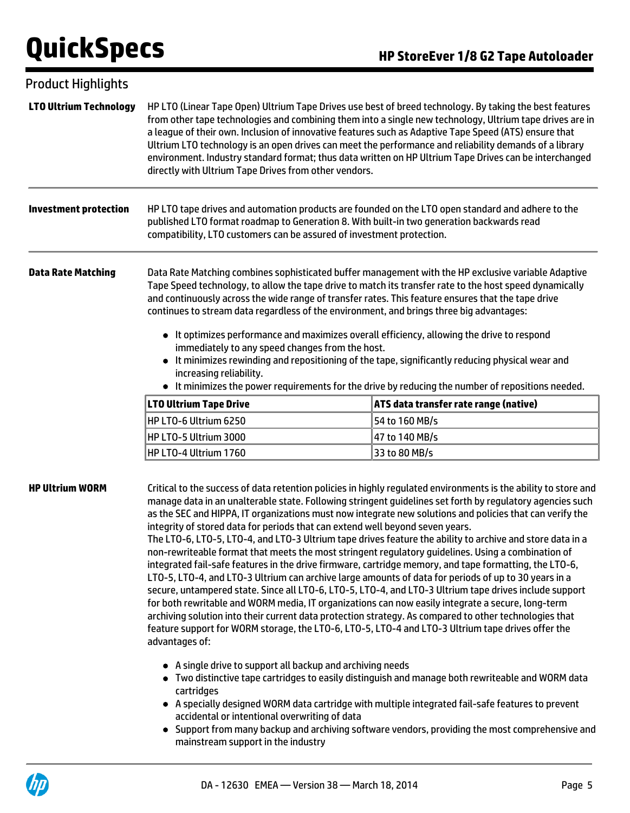| <b>Product Highlights</b>     |                                                                                                                                                                                                                                                                                                                                                                                                                                                                                                                                                                                                                                                                                                                                                                                                           |                                                                                                                                                                                                                                                                                                                                                                                                                                                                                                                                                                 |
|-------------------------------|-----------------------------------------------------------------------------------------------------------------------------------------------------------------------------------------------------------------------------------------------------------------------------------------------------------------------------------------------------------------------------------------------------------------------------------------------------------------------------------------------------------------------------------------------------------------------------------------------------------------------------------------------------------------------------------------------------------------------------------------------------------------------------------------------------------|-----------------------------------------------------------------------------------------------------------------------------------------------------------------------------------------------------------------------------------------------------------------------------------------------------------------------------------------------------------------------------------------------------------------------------------------------------------------------------------------------------------------------------------------------------------------|
| <b>LTO Ultrium Technology</b> | a league of their own. Inclusion of innovative features such as Adaptive Tape Speed (ATS) ensure that<br>directly with Ultrium Tape Drives from other vendors.                                                                                                                                                                                                                                                                                                                                                                                                                                                                                                                                                                                                                                            | HP LTO (Linear Tape Open) Ultrium Tape Drives use best of breed technology. By taking the best features<br>from other tape technologies and combining them into a single new technology, Ultrium tape drives are in<br>Ultrium LTO technology is an open drives can meet the performance and reliability demands of a library<br>environment. Industry standard format; thus data written on HP Ultrium Tape Drives can be interchanged                                                                                                                         |
| <b>Investment protection</b>  | HP LTO tape drives and automation products are founded on the LTO open standard and adhere to the<br>published LTO format roadmap to Generation 8. With built-in two generation backwards read<br>compatibility, LTO customers can be assured of investment protection.                                                                                                                                                                                                                                                                                                                                                                                                                                                                                                                                   |                                                                                                                                                                                                                                                                                                                                                                                                                                                                                                                                                                 |
| <b>Data Rate Matching</b>     | and continuously across the wide range of transfer rates. This feature ensures that the tape drive<br>continues to stream data regardless of the environment, and brings three big advantages:<br>• It optimizes performance and maximizes overall efficiency, allowing the drive to respond<br>immediately to any speed changes from the host.<br>increasing reliability.                                                                                                                                                                                                                                                                                                                                                                                                                                | Data Rate Matching combines sophisticated buffer management with the HP exclusive variable Adaptive<br>Tape Speed technology, to allow the tape drive to match its transfer rate to the host speed dynamically<br>It minimizes rewinding and repositioning of the tape, significantly reducing physical wear and<br>• It minimizes the power requirements for the drive by reducing the number of repositions needed.                                                                                                                                           |
|                               | <b>LTO Ultrium Tape Drive</b>                                                                                                                                                                                                                                                                                                                                                                                                                                                                                                                                                                                                                                                                                                                                                                             | ATS data transfer rate range (native)                                                                                                                                                                                                                                                                                                                                                                                                                                                                                                                           |
|                               | HP LTO-6 Ultrium 6250                                                                                                                                                                                                                                                                                                                                                                                                                                                                                                                                                                                                                                                                                                                                                                                     | 54 to 160 MB/s                                                                                                                                                                                                                                                                                                                                                                                                                                                                                                                                                  |
|                               | HP LTO-5 Ultrium 3000                                                                                                                                                                                                                                                                                                                                                                                                                                                                                                                                                                                                                                                                                                                                                                                     | 47 to 140 MB/s                                                                                                                                                                                                                                                                                                                                                                                                                                                                                                                                                  |
|                               | HP LTO-4 Ultrium 1760                                                                                                                                                                                                                                                                                                                                                                                                                                                                                                                                                                                                                                                                                                                                                                                     | 33 to 80 MB/s                                                                                                                                                                                                                                                                                                                                                                                                                                                                                                                                                   |
| <b>HP Ultrium WORM</b>        | integrity of stored data for periods that can extend well beyond seven years.<br>non-rewriteable format that meets the most stringent regulatory guidelines. Using a combination of<br>integrated fail-safe features in the drive firmware, cartridge memory, and tape formatting, the LTO-6,<br>LTO-5, LTO-4, and LTO-3 Ultrium can archive large amounts of data for periods of up to 30 years in a<br>for both rewritable and WORM media, IT organizations can now easily integrate a secure, long-term<br>archiving solution into their current data protection strategy. As compared to other technologies that<br>feature support for WORM storage, the LTO-6, LTO-5, LTO-4 and LTO-3 Ultrium tape drives offer the<br>advantages of:<br>• A single drive to support all backup and archiving needs | Critical to the success of data retention policies in highly regulated environments is the ability to store and<br>manage data in an unalterable state. Following stringent guidelines set forth by regulatory agencies such<br>as the SEC and HIPPA, IT organizations must now integrate new solutions and policies that can verify the<br>The LTO-6, LTO-5, LTO-4, and LTO-3 Ultrium tape drives feature the ability to archive and store data in a<br>secure, untampered state. Since all LTO-6, LTO-5, LTO-4, and LTO-3 Ultrium tape drives include support |
|                               |                                                                                                                                                                                                                                                                                                                                                                                                                                                                                                                                                                                                                                                                                                                                                                                                           | Tup distinctive tape sartridges to easily distinguish and manage beth rewriteable and WODM data                                                                                                                                                                                                                                                                                                                                                                                                                                                                 |

- Two distinctive tape cartridges to easily distinguish and manage both rewriteable and WORM data cartridges
- A specially designed WORM data cartridge with multiple integrated fail-safe features to prevent accidental or intentional overwriting of data
- Support from many backup and archiving software vendors, providing the most comprehensive and mainstream support in the industry

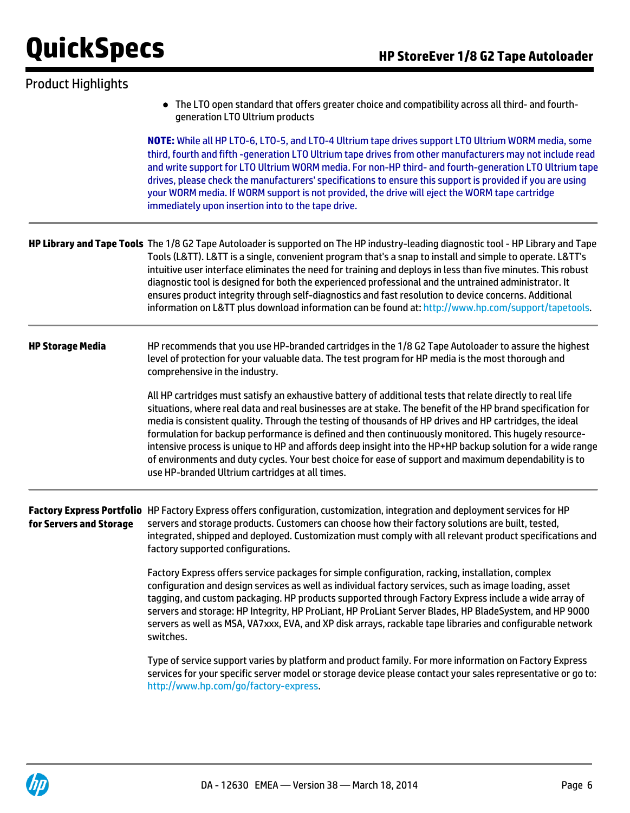| <b>Product Highlights</b> |                                                                                                                                                                                                                                                                                                                                                                                                                                                                                                                                                                                                                                                                                                                        |
|---------------------------|------------------------------------------------------------------------------------------------------------------------------------------------------------------------------------------------------------------------------------------------------------------------------------------------------------------------------------------------------------------------------------------------------------------------------------------------------------------------------------------------------------------------------------------------------------------------------------------------------------------------------------------------------------------------------------------------------------------------|
|                           | The LTO open standard that offers greater choice and compatibility across all third- and fourth-<br>$\bullet$<br>generation LTO Ultrium products                                                                                                                                                                                                                                                                                                                                                                                                                                                                                                                                                                       |
|                           | NOTE: While all HP LTO-6, LTO-5, and LTO-4 Ultrium tape drives support LTO Ultrium WORM media, some<br>third, fourth and fifth -generation LTO Ultrium tape drives from other manufacturers may not include read<br>and write support for LTO Ultrium WORM media. For non-HP third- and fourth-generation LTO Ultrium tape<br>drives, please check the manufacturers' specifications to ensure this support is provided if you are using<br>your WORM media. If WORM support is not provided, the drive will eject the WORM tape cartridge<br>immediately upon insertion into to the tape drive.                                                                                                                       |
|                           | HP Library and Tape Tools The 1/8 G2 Tape Autoloader is supported on The HP industry-leading diagnostic tool - HP Library and Tape<br>Tools (L&TT). L&TT is a single, convenient program that's a snap to install and simple to operate. L&TT's<br>intuitive user interface eliminates the need for training and deploys in less than five minutes. This robust<br>diagnostic tool is designed for both the experienced professional and the untrained administrator. It<br>ensures product integrity through self-diagnostics and fast resolution to device concerns. Additional<br>information on L&TT plus download information can be found at: http://www.hp.com/support/tapetools.                               |
| <b>HP Storage Media</b>   | HP recommends that you use HP-branded cartridges in the 1/8 G2 Tape Autoloader to assure the highest<br>level of protection for your valuable data. The test program for HP media is the most thorough and<br>comprehensive in the industry.                                                                                                                                                                                                                                                                                                                                                                                                                                                                           |
|                           | All HP cartridges must satisfy an exhaustive battery of additional tests that relate directly to real life<br>situations, where real data and real businesses are at stake. The benefit of the HP brand specification for<br>media is consistent quality. Through the testing of thousands of HP drives and HP cartridges, the ideal<br>formulation for backup performance is defined and then continuously monitored. This hugely resource-<br>intensive process is unique to HP and affords deep insight into the HP+HP backup solution for a wide range<br>of environments and duty cycles. Your best choice for ease of support and maximum dependability is to<br>use HP-branded Ultrium cartridges at all times. |
| for Servers and Storage   | Factory Express Portfolio HP Factory Express offers configuration, customization, integration and deployment services for HP<br>servers and storage products. Customers can choose how their factory solutions are built, tested,<br>integrated, shipped and deployed. Customization must comply with all relevant product specifications and<br>factory supported configurations.                                                                                                                                                                                                                                                                                                                                     |
|                           | Factory Express offers service packages for simple configuration, racking, installation, complex<br>configuration and design services as well as individual factory services, such as image loading, asset<br>tagging, and custom packaging. HP products supported through Factory Express include a wide array of<br>servers and storage: HP Integrity, HP ProLiant, HP ProLiant Server Blades, HP BladeSystem, and HP 9000<br>servers as well as MSA, VA7xxx, EVA, and XP disk arrays, rackable tape libraries and configurable network<br>switches.                                                                                                                                                                 |
|                           | Type of service support varies by platform and product family. For more information on Factory Express<br>services for your specific server model or storage device please contact your sales representative or go to:<br>http://www.hp.com/go/factory-express.                                                                                                                                                                                                                                                                                                                                                                                                                                                        |

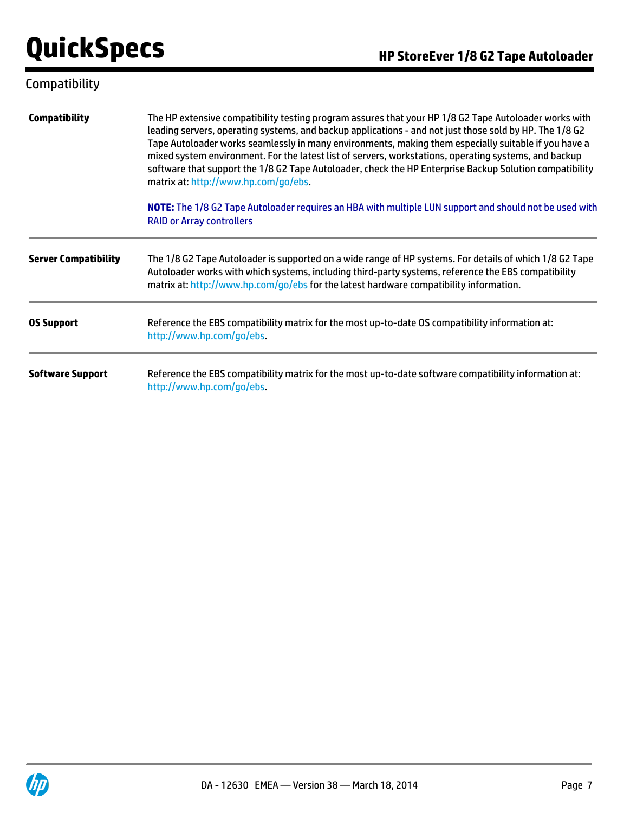## Compatibility

| <b>Compatibility</b>        | The HP extensive compatibility testing program assures that your HP 1/8 G2 Tape Autoloader works with<br>leading servers, operating systems, and backup applications - and not just those sold by HP. The 1/8 G2<br>Tape Autoloader works seamlessly in many environments, making them especially suitable if you have a<br>mixed system environment. For the latest list of servers, workstations, operating systems, and backup<br>software that support the 1/8 G2 Tape Autoloader, check the HP Enterprise Backup Solution compatibility<br>matrix at: http://www.hp.com/go/ebs. |
|-----------------------------|--------------------------------------------------------------------------------------------------------------------------------------------------------------------------------------------------------------------------------------------------------------------------------------------------------------------------------------------------------------------------------------------------------------------------------------------------------------------------------------------------------------------------------------------------------------------------------------|
|                             | NOTE: The 1/8 G2 Tape Autoloader requires an HBA with multiple LUN support and should not be used with<br><b>RAID or Array controllers</b>                                                                                                                                                                                                                                                                                                                                                                                                                                           |
| <b>Server Compatibility</b> | The 1/8 G2 Tape Autoloader is supported on a wide range of HP systems. For details of which 1/8 G2 Tape<br>Autoloader works with which systems, including third-party systems, reference the EBS compatibility<br>matrix at: http://www.hp.com/go/ebs for the latest hardware compatibility information.                                                                                                                                                                                                                                                                             |
| <b>OS Support</b>           | Reference the EBS compatibility matrix for the most up-to-date OS compatibility information at:<br>http://www.hp.com/go/ebs.                                                                                                                                                                                                                                                                                                                                                                                                                                                         |
| <b>Software Support</b>     | Reference the EBS compatibility matrix for the most up-to-date software compatibility information at:<br>http://www.hp.com/go/ebs.                                                                                                                                                                                                                                                                                                                                                                                                                                                   |

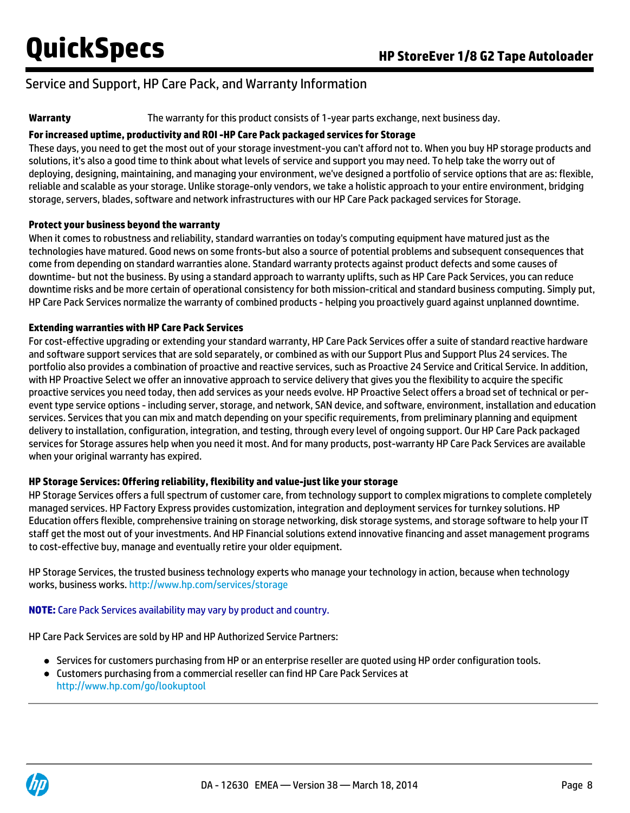## Service and Support, HP Care Pack, and Warranty Information

**Warranty** The warranty for this product consists of 1-year parts exchange, next business day.

#### **For increased uptime, productivity and ROI -HP Care Pack packaged services for Storage**

These days, you need to get the most out of your storage investment-you can't afford not to. When you buy HP storage products and solutions, it's also a good time to think about what levels of service and support you may need. To help take the worry out of deploying, designing, maintaining, and managing your environment, we've designed a portfolio of service options that are as: flexible, reliable and scalable as your storage. Unlike storage-only vendors, we take a holistic approach to your entire environment, bridging storage, servers, blades, software and network infrastructures with our HP Care Pack packaged services for Storage.

#### **Protect your business beyond the warranty**

When it comes to robustness and reliability, standard warranties on today's computing equipment have matured just as the technologies have matured. Good news on some fronts-but also a source of potential problems and subsequent consequences that come from depending on standard warranties alone. Standard warranty protects against product defects and some causes of downtime- but not the business. By using a standard approach to warranty uplifts, such as HP Care Pack Services, you can reduce downtime risks and be more certain of operational consistency for both mission-critical and standard business computing. Simply put, HP Care Pack Services normalize the warranty of combined products - helping you proactively guard against unplanned downtime.

#### **Extending warranties with HP Care Pack Services**

For cost-effective upgrading or extending your standard warranty, HP Care Pack Services offer a suite of standard reactive hardware and software support services that are sold separately, or combined as with our Support Plus and Support Plus 24 services. The portfolio also provides a combination of proactive and reactive services, such as Proactive 24 Service and Critical Service. In addition, with HP Proactive Select we offer an innovative approach to service delivery that gives you the flexibility to acquire the specific proactive services you need today, then add services as your needs evolve. HP Proactive Select offers a broad set of technical or perevent type service options - including server, storage, and network, SAN device, and software, environment, installation and education services. Services that you can mix and match depending on your specific requirements, from preliminary planning and equipment delivery to installation, configuration, integration, and testing, through every level of ongoing support. Our HP Care Pack packaged services for Storage assures help when you need it most. And for many products, post-warranty HP Care Pack Services are available when your original warranty has expired.

### **HP Storage Services: Offering reliability, flexibility and value-just like your storage**

HP Storage Services offers a full spectrum of customer care, from technology support to complex migrations to complete completely managed services. HP Factory Express provides customization, integration and deployment services for turnkey solutions. HP Education offers flexible, comprehensive training on storage networking, disk storage systems, and storage software to help your IT staff get the most out of your investments. And HP Financial solutions extend innovative financing and asset management programs to cost-effective buy, manage and eventually retire your older equipment.

HP Storage Services, the trusted business technology experts who manage your technology in action, because when technology works, business works. <http://www.hp.com/services/storage>

#### **NOTE:** Care Pack Services availability may vary by product and country.

HP Care Pack Services are sold by HP and HP Authorized Service Partners:

- Services for customers purchasing from HP or an enterprise reseller are quoted using HP order configuration tools.
- Customers purchasing from a commercial reseller can find HP Care Pack Services at <http://www.hp.com/go/lookuptool>

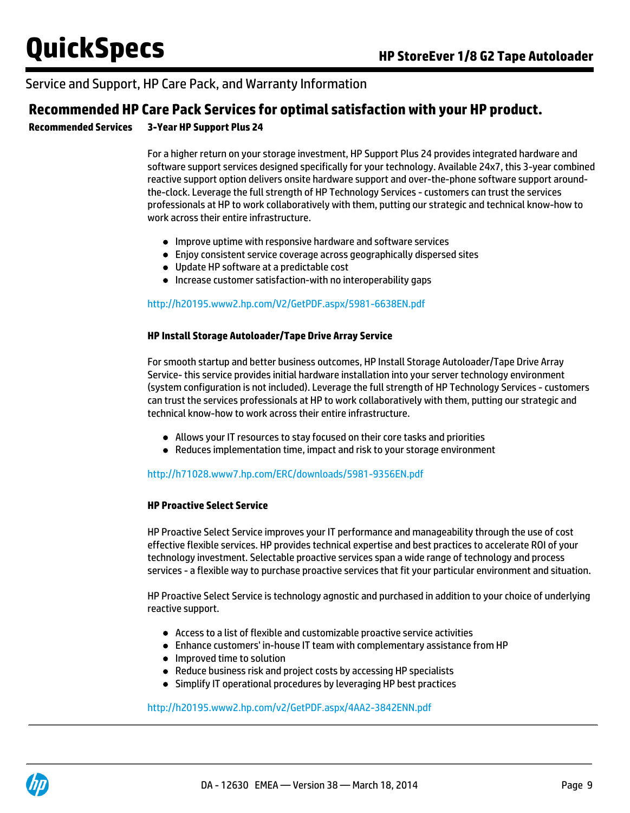### Service and Support, HP Care Pack, and Warranty Information

### **Recommended HP Care Pack Services for optimal satisfaction with your HP product.**

**Recommended Services 3-Year HP Support Plus 24**

For a higher return on your storage investment, HP Support Plus 24 provides integrated hardware and software support services designed specifically for your technology. Available 24x7, this 3-year combined reactive support option delivers onsite hardware support and over-the-phone software support aroundthe-clock. Leverage the full strength of HP Technology Services - customers can trust the services professionals at HP to work collaboratively with them, putting our strategic and technical know-how to work across their entire infrastructure.

- Improve uptime with responsive hardware and software services
- Enjoy consistent service coverage across geographically dispersed sites
- Update HP software at a predictable cost
- Increase customer satisfaction-with no interoperability gaps

#### <http://h20195.www2.hp.com/V2/GetPDF.aspx/5981-6638EN.pdf>

#### **HP Install Storage Autoloader/Tape Drive Array Service**

For smooth startup and better business outcomes, HP Install Storage Autoloader/Tape Drive Array Service- this service provides initial hardware installation into your server technology environment (system configuration is not included). Leverage the full strength of HP Technology Services - customers can trust the services professionals at HP to work collaboratively with them, putting our strategic and technical know-how to work across their entire infrastructure.

- Allows your IT resources to stay focused on their core tasks and priorities
- Reduces implementation time, impact and risk to your storage environment

#### <http://h71028.www7.hp.com/ERC/downloads/5981-9356EN.pdf>

#### **HP Proactive Select Service**

HP Proactive Select Service improves your IT performance and manageability through the use of cost effective flexible services. HP provides technical expertise and best practices to accelerate ROI of your technology investment. Selectable proactive services span a wide range of technology and process services - a flexible way to purchase proactive services that fit your particular environment and situation.

HP Proactive Select Service is technology agnostic and purchased in addition to your choice of underlying reactive support.

- Access to a list of flexible and customizable proactive service activities
- Enhance customers' in-house IT team with complementary assistance from HP
- Improved time to solution
- Reduce business risk and project costs by accessing HP specialists
- Simplify IT operational procedures by leveraging HP best practices

#### <http://h20195.www2.hp.com/v2/GetPDF.aspx/4AA2-3842ENN.pdf>

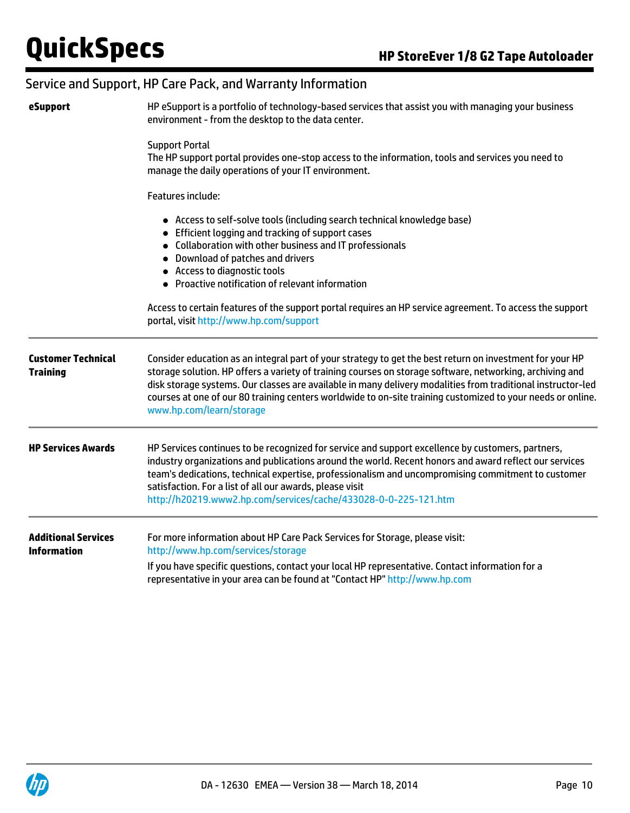### Service and Support, HP Care Pack, and Warranty Information

| eSupport                                         | HP eSupport is a portfolio of technology-based services that assist you with managing your business<br>environment - from the desktop to the data center.                                                                                                                                                                                                                                                                                                                      |
|--------------------------------------------------|--------------------------------------------------------------------------------------------------------------------------------------------------------------------------------------------------------------------------------------------------------------------------------------------------------------------------------------------------------------------------------------------------------------------------------------------------------------------------------|
|                                                  | <b>Support Portal</b><br>The HP support portal provides one-stop access to the information, tools and services you need to<br>manage the daily operations of your IT environment.                                                                                                                                                                                                                                                                                              |
|                                                  | <b>Features include:</b>                                                                                                                                                                                                                                                                                                                                                                                                                                                       |
|                                                  | • Access to self-solve tools (including search technical knowledge base)<br>• Efficient logging and tracking of support cases<br>• Collaboration with other business and IT professionals<br>• Download of patches and drivers<br>• Access to diagnostic tools<br>• Proactive notification of relevant information                                                                                                                                                             |
|                                                  | Access to certain features of the support portal requires an HP service agreement. To access the support<br>portal, visit http://www.hp.com/support                                                                                                                                                                                                                                                                                                                            |
| <b>Customer Technical</b><br><b>Training</b>     | Consider education as an integral part of your strategy to get the best return on investment for your HP<br>storage solution. HP offers a variety of training courses on storage software, networking, archiving and<br>disk storage systems. Our classes are available in many delivery modalities from traditional instructor-led<br>courses at one of our 80 training centers worldwide to on-site training customized to your needs or online.<br>www.hp.com/learn/storage |
| <b>HP Services Awards</b>                        | HP Services continues to be recognized for service and support excellence by customers, partners,<br>industry organizations and publications around the world. Recent honors and award reflect our services<br>team's dedications, technical expertise, professionalism and uncompromising commitment to customer<br>satisfaction. For a list of all our awards, please visit<br>http://h20219.www2.hp.com/services/cache/433028-0-0-225-121.htm                               |
| <b>Additional Services</b><br><b>Information</b> | For more information about HP Care Pack Services for Storage, please visit:<br>http://www.hp.com/services/storage                                                                                                                                                                                                                                                                                                                                                              |
|                                                  | If you have specific questions, contact your local HP representative. Contact information for a<br>representative in your area can be found at "Contact HP" http://www.hp.com                                                                                                                                                                                                                                                                                                  |

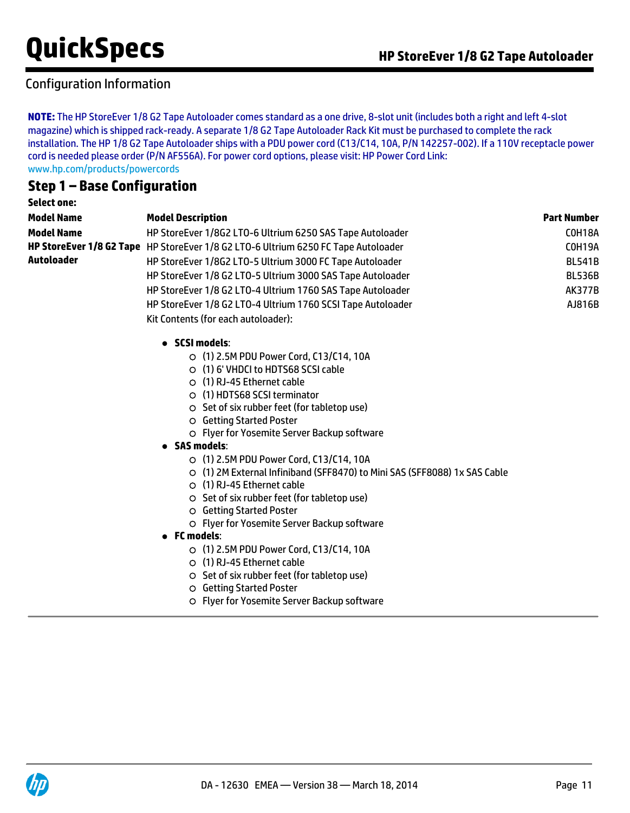## Configuration Information

**NOTE:** The HP StoreEver 1/8 G2 Tape Autoloader comes standard as a one drive, 8-slot unit (includes both a right and left 4-slot magazine) which is shipped rack-ready. A separate 1/8 G2 Tape Autoloader Rack Kit must be purchased to complete the rack installation. The HP 1/8 G2 Tape Autoloader ships with a PDU power cord (C13/C14, 10A, P/N 142257-002). If a 110V receptacle power cord is needed please order (P/N AF556A). For power cord options, please visit: HP Power Cord Link: [www.hp.com/products/powercords](http://www.hp.com/products/powercords)

### **Step 1 – Base Configuration**

| <b>Select one:</b> |                                                                                    |                    |
|--------------------|------------------------------------------------------------------------------------|--------------------|
| <b>Model Name</b>  | <b>Model Description</b>                                                           | <b>Part Number</b> |
| <b>Model Name</b>  | HP StoreEver 1/8G2 LTO-6 Ultrium 6250 SAS Tape Autoloader                          | COH18A             |
|                    | HP StoreEver 1/8 G2 Tape HP StoreEver 1/8 G2 LTO-6 Ultrium 6250 FC Tape Autoloader | COH19A             |
| <b>Autoloader</b>  | HP StoreEver 1/8G2 LTO-5 Ultrium 3000 FC Tape Autoloader                           | <b>BL541B</b>      |
|                    | HP StoreEver 1/8 G2 LTO-5 Ultrium 3000 SAS Tape Autoloader                         | <b>BL536B</b>      |
|                    | HP StoreEver 1/8 G2 LTO-4 Ultrium 1760 SAS Tape Autoloader                         | <b>AK377B</b>      |
|                    | HP StoreEver 1/8 G2 LTO-4 Ultrium 1760 SCSI Tape Autoloader                        | AJ816B             |
|                    | Kit Contents (for each autoloader):                                                |                    |
|                    | • SCSI models:                                                                     |                    |
|                    | ○ (1) 2.5M PDU Power Cord, C13/C14, 10A                                            |                    |
|                    | ○ (1) 6' VHDCI to HDTS68 SCSI cable                                                |                    |
|                    | O (1) RJ-45 Ethernet cable                                                         |                    |
|                    | ○ (1) HDTS68 SCSI terminator                                                       |                    |
|                    | ○ Set of six rubber feet (for tabletop use)                                        |                    |
|                    | O Getting Started Poster                                                           |                    |
|                    | O Flyer for Yosemite Server Backup software                                        |                    |
|                    | <b>SAS models:</b>                                                                 |                    |
|                    | O (1) 2.5M PDU Power Cord, C13/C14, 10A                                            |                    |
|                    | ○ (1) 2M External Infiniband (SFF8470) to Mini SAS (SFF8088) 1x SAS Cable          |                    |
|                    | ○ (1) RJ-45 Ethernet cable                                                         |                    |
|                    | ○ Set of six rubber feet (for tabletop use)                                        |                    |
|                    | O Getting Started Poster                                                           |                    |
|                    | O Flyer for Yosemite Server Backup software                                        |                    |
|                    | $\bullet$ FC models:                                                               |                    |
|                    | O (1) 2.5M PDU Power Cord, C13/C14, 10A                                            |                    |
|                    | $\circ$ (1) RJ-45 Ethernet cable                                                   |                    |
|                    | ○ Set of six rubber feet (for tabletop use)                                        |                    |
|                    | O Getting Started Poster                                                           |                    |
|                    | O Flyer for Yosemite Server Backup software                                        |                    |
|                    |                                                                                    |                    |
|                    |                                                                                    |                    |

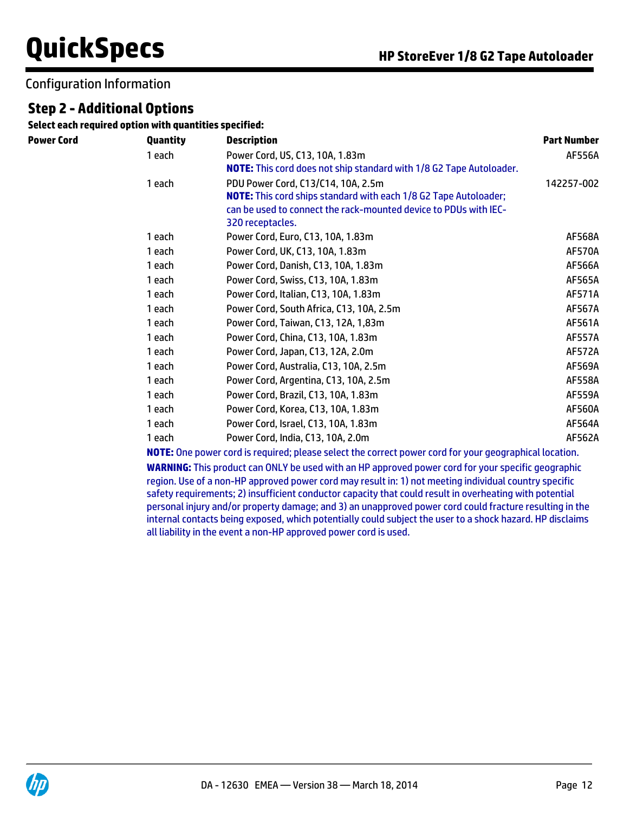### Configuration Information

## **Step 2 - Additional Options**

**Select each required option with quantities specified:**

| Power Cord | Quantity | <b>Description</b>                                                         | <b>Part Number</b> |
|------------|----------|----------------------------------------------------------------------------|--------------------|
|            | 1 each   | Power Cord, US, C13, 10A, 1.83m                                            | AF556A             |
|            |          | <b>NOTE:</b> This cord does not ship standard with 1/8 G2 Tape Autoloader. |                    |
|            | 1 each   | PDU Power Cord, C13/C14, 10A, 2.5m                                         | 142257-002         |
|            |          | <b>NOTE:</b> This cord ships standard with each 1/8 G2 Tape Autoloader;    |                    |
|            |          | can be used to connect the rack-mounted device to PDUs with IEC-           |                    |
|            |          | 320 receptacles.                                                           |                    |
|            | 1 each   | Power Cord, Euro, C13, 10A, 1.83m                                          | <b>AF568A</b>      |
|            | 1 each   | Power Cord, UK, C13, 10A, 1.83m                                            | <b>AF570A</b>      |
|            | 1 each   | Power Cord, Danish, C13, 10A, 1.83m                                        | AF566A             |
|            | 1 each   | Power Cord, Swiss, C13, 10A, 1.83m                                         | <b>AF565A</b>      |
|            | 1 each   | Power Cord, Italian, C13, 10A, 1.83m                                       | AF571A             |
|            | 1 each   | Power Cord, South Africa, C13, 10A, 2.5m                                   | AF567A             |
|            | 1 each   | Power Cord, Taiwan, C13, 12A, 1,83m                                        | AF561A             |
|            | 1 each   | Power Cord, China, C13, 10A, 1.83m                                         | <b>AF557A</b>      |
|            | 1 each   | Power Cord, Japan, C13, 12A, 2.0m                                          | <b>AF572A</b>      |
|            | 1 each   | Power Cord, Australia, C13, 10A, 2.5m                                      | <b>AF569A</b>      |
|            | 1 each   | Power Cord, Argentina, C13, 10A, 2.5m                                      | <b>AF558A</b>      |
|            | 1 each   | Power Cord, Brazil, C13, 10A, 1.83m                                        | <b>AF559A</b>      |
|            | 1 each   | Power Cord, Korea, C13, 10A, 1.83m                                         | AF560A             |
|            | 1 each   | Power Cord, Israel, C13, 10A, 1.83m                                        | AF564A             |
|            | 1 each   | Power Cord, India, C13, 10A, 2.0m                                          | AF562A             |

**NOTE:** One power cord is required; please select the correct power cord for your geographical location.

**WARNING:** This product can ONLY be used with an HP approved power cord for your specific geographic region. Use of a non-HP approved power cord may result in: 1) not meeting individual country specific safety requirements; 2) insufficient conductor capacity that could result in overheating with potential personal injury and/or property damage; and 3) an unapproved power cord could fracture resulting in the internal contacts being exposed, which potentially could subject the user to a shock hazard. HP disclaims all liability in the event a non-HP approved power cord is used.

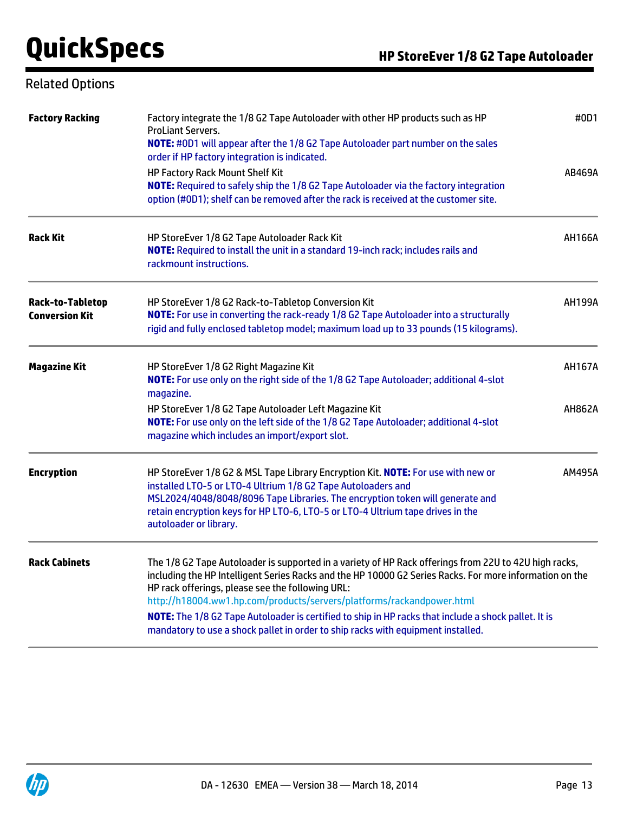## Related Options

| <b>Factory Racking</b>                           | Factory integrate the 1/8 G2 Tape Autoloader with other HP products such as HP<br><b>ProLiant Servers.</b><br><b>NOTE:</b> #0D1 will appear after the 1/8 G2 Tape Autoloader part number on the sales<br>order if HP factory integration is indicated.<br><b>HP Factory Rack Mount Shelf Kit</b><br><b>NOTE:</b> Required to safely ship the 1/8 G2 Tape Autoloader via the factory integration<br>option (#0D1); shelf can be removed after the rack is received at the customer site.                                                   | #0D1<br>AB469A |
|--------------------------------------------------|-------------------------------------------------------------------------------------------------------------------------------------------------------------------------------------------------------------------------------------------------------------------------------------------------------------------------------------------------------------------------------------------------------------------------------------------------------------------------------------------------------------------------------------------|----------------|
| <b>Rack Kit</b>                                  | HP StoreEver 1/8 G2 Tape Autoloader Rack Kit<br>NOTE: Required to install the unit in a standard 19-inch rack; includes rails and<br>rackmount instructions.                                                                                                                                                                                                                                                                                                                                                                              | <b>AH166A</b>  |
| <b>Rack-to-Tabletop</b><br><b>Conversion Kit</b> | HP StoreEver 1/8 G2 Rack-to-Tabletop Conversion Kit<br>NOTE: For use in converting the rack-ready 1/8 G2 Tape Autoloader into a structurally<br>rigid and fully enclosed tabletop model; maximum load up to 33 pounds (15 kilograms).                                                                                                                                                                                                                                                                                                     | <b>AH199A</b>  |
| <b>Magazine Kit</b>                              | HP StoreEver 1/8 G2 Right Magazine Kit<br>NOTE: For use only on the right side of the 1/8 G2 Tape Autoloader; additional 4-slot<br>magazine.                                                                                                                                                                                                                                                                                                                                                                                              | <b>AH167A</b>  |
|                                                  | HP StoreEver 1/8 G2 Tape Autoloader Left Magazine Kit<br>NOTE: For use only on the left side of the 1/8 G2 Tape Autoloader; additional 4-slot<br>magazine which includes an import/export slot.                                                                                                                                                                                                                                                                                                                                           | <b>AH862A</b>  |
| <b>Encryption</b>                                | HP StoreEver 1/8 G2 & MSL Tape Library Encryption Kit. NOTE: For use with new or<br>installed LTO-5 or LTO-4 Ultrium 1/8 G2 Tape Autoloaders and<br>MSL2024/4048/8048/8096 Tape Libraries. The encryption token will generate and<br>retain encryption keys for HP LTO-6, LTO-5 or LTO-4 Ultrium tape drives in the<br>autoloader or library.                                                                                                                                                                                             | AM495A         |
| <b>Rack Cabinets</b>                             | The 1/8 G2 Tape Autoloader is supported in a variety of HP Rack offerings from 22U to 42U high racks,<br>including the HP Intelligent Series Racks and the HP 10000 G2 Series Racks. For more information on the<br>HP rack offerings, please see the following URL:<br>http://h18004.ww1.hp.com/products/servers/platforms/rackandpower.html<br>NOTE: The 1/8 G2 Tape Autoloader is certified to ship in HP racks that include a shock pallet. It is<br>mandatory to use a shock pallet in order to ship racks with equipment installed. |                |

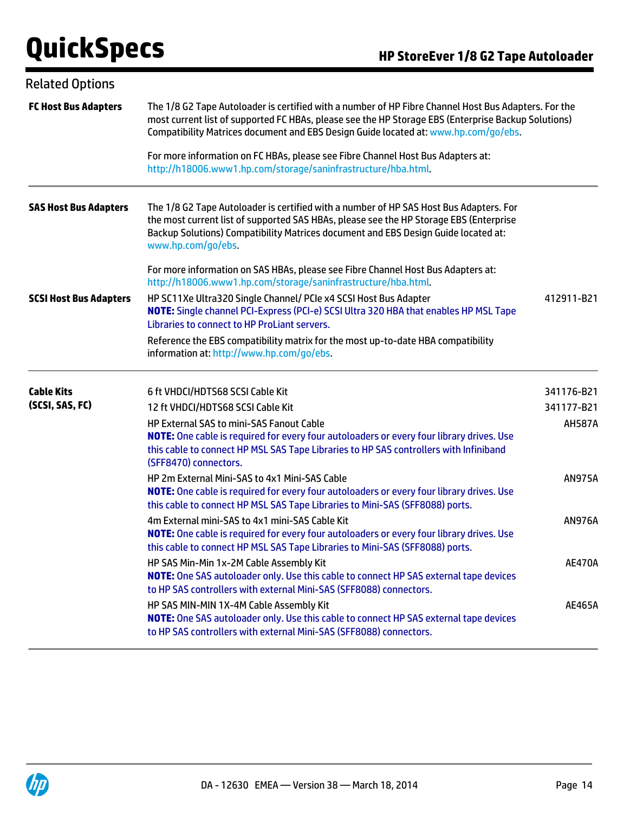| <b>Related Options</b>        |                                                                                                                                                                                                                                                                                                    |               |
|-------------------------------|----------------------------------------------------------------------------------------------------------------------------------------------------------------------------------------------------------------------------------------------------------------------------------------------------|---------------|
| <b>FC Host Bus Adapters</b>   | The 1/8 G2 Tape Autoloader is certified with a number of HP Fibre Channel Host Bus Adapters. For the<br>most current list of supported FC HBAs, please see the HP Storage EBS (Enterprise Backup Solutions)<br>Compatibility Matrices document and EBS Design Guide located at: www.hp.com/go/ebs. |               |
|                               | For more information on FC HBAs, please see Fibre Channel Host Bus Adapters at:<br>http://h18006.www1.hp.com/storage/saninfrastructure/hba.html.                                                                                                                                                   |               |
| <b>SAS Host Bus Adapters</b>  | The 1/8 G2 Tape Autoloader is certified with a number of HP SAS Host Bus Adapters. For<br>the most current list of supported SAS HBAs, please see the HP Storage EBS (Enterprise<br>Backup Solutions) Compatibility Matrices document and EBS Design Guide located at:<br>www.hp.com/go/ebs.       |               |
|                               | For more information on SAS HBAs, please see Fibre Channel Host Bus Adapters at:<br>http://h18006.www1.hp.com/storage/saninfrastructure/hba.html.                                                                                                                                                  |               |
| <b>SCSI Host Bus Adapters</b> | HP SC11Xe Ultra320 Single Channel/ PCIe x4 SCSI Host Bus Adapter<br>NOTE: Single channel PCI-Express (PCI-e) SCSI Ultra 320 HBA that enables HP MSL Tape<br>Libraries to connect to HP ProLiant servers.                                                                                           | 412911-B21    |
|                               | Reference the EBS compatibility matrix for the most up-to-date HBA compatibility<br>information at: http://www.hp.com/go/ebs.                                                                                                                                                                      |               |
| <b>Cable Kits</b>             | 6 ft VHDCI/HDTS68 SCSI Cable Kit                                                                                                                                                                                                                                                                   | 341176-B21    |
| (SCSI, SAS, FC)               | 12 ft VHDCI/HDTS68 SCSI Cable Kit                                                                                                                                                                                                                                                                  | 341177-B21    |
|                               | HP External SAS to mini-SAS Fanout Cable<br>NOTE: One cable is required for every four autoloaders or every four library drives. Use<br>this cable to connect HP MSL SAS Tape Libraries to HP SAS controllers with Infiniband<br>(SFF8470) connectors.                                             | <b>AH587A</b> |
|                               | HP 2m External Mini-SAS to 4x1 Mini-SAS Cable<br>NOTE: One cable is required for every four autoloaders or every four library drives. Use<br>this cable to connect HP MSL SAS Tape Libraries to Mini-SAS (SFF8088) ports.                                                                          | <b>AN975A</b> |
|                               | 4m External mini-SAS to 4x1 mini-SAS Cable Kit<br>NOTE: One cable is required for every four autoloaders or every four library drives. Use<br>this cable to connect HP MSL SAS Tape Libraries to Mini-SAS (SFF8088) ports.                                                                         | <b>AN976A</b> |
|                               | HP SAS Min-Min 1x-2M Cable Assembly Kit<br>NOTE: One SAS autoloader only. Use this cable to connect HP SAS external tape devices<br>to HP SAS controllers with external Mini-SAS (SFF8088) connectors.                                                                                             | <b>AE470A</b> |
|                               | HP SAS MIN-MIN 1X-4M Cable Assembly Kit<br>NOTE: One SAS autoloader only. Use this cable to connect HP SAS external tape devices<br>to HP SAS controllers with external Mini-SAS (SFF8088) connectors.                                                                                             | <b>AE465A</b> |

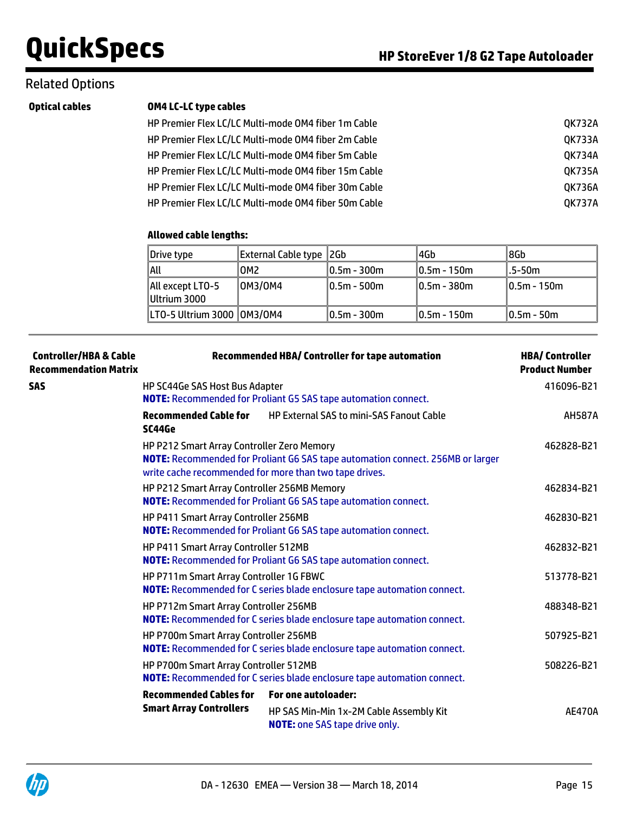### Related Options

| <b>Optical cables</b> |
|-----------------------|
|-----------------------|

#### **OM4 LC-LC type cables**

| HP Premier Flex LC/LC Multi-mode OM4 fiber 1m Cable  | QK732A        |
|------------------------------------------------------|---------------|
| HP Premier Flex LC/LC Multi-mode OM4 fiber 2m Cable  | <b>OK733A</b> |
| HP Premier Flex LC/LC Multi-mode OM4 fiber 5m Cable  | 0K734A        |
| HP Premier Flex LC/LC Multi-mode OM4 fiber 15m Cable | <b>OK735A</b> |
| HP Premier Flex LC/LC Multi-mode OM4 fiber 30m Cable | OK736A        |
| HP Premier Flex LC/LC Multi-mode OM4 fiber 50m Cable | <b>OK737A</b> |

### **Allowed cable lengths:**

| Drive type                       | External Cable type  2Gb |              | 4Gb          | ∥8Gb           |
|----------------------------------|--------------------------|--------------|--------------|----------------|
| all                              | OM2                      | 10.5m - 300m | 10.5m - 150m | l.5-50m        |
| All except LTO-5<br>Ultrium 3000 | OM3/OM4                  | 10.5m - 500m | 10.5m - 380m | $10.5m - 150m$ |
|                                  |                          |              |              |                |
| LT0-5 Ultrium 3000   0M3/0M4     |                          | 0.5m - 300m  | 10.5m - 150m | $10.5m - 50m$  |

| <b>Controller/HBA &amp; Cable</b><br><b>Recommendation Matrix</b> | <b>Recommended HBA/ Controller for tape automation</b>                                                               |                                                                                                                                          | <b>HBA/Controller</b><br><b>Product Number</b> |
|-------------------------------------------------------------------|----------------------------------------------------------------------------------------------------------------------|------------------------------------------------------------------------------------------------------------------------------------------|------------------------------------------------|
| <b>SAS</b>                                                        | HP SC44Ge SAS Host Bus Adapter                                                                                       | <b>NOTE:</b> Recommended for Proliant G5 SAS tape automation connect.                                                                    | 416096-B21                                     |
|                                                                   | <b>Recommended Cable for</b><br>SC44Ge                                                                               | <b>HP External SAS to mini-SAS Fanout Cable</b>                                                                                          | <b>AH587A</b>                                  |
|                                                                   | HP P212 Smart Array Controller Zero Memory                                                                           | NOTE: Recommended for Proliant G6 SAS tape automation connect. 256MB or larger<br>write cache recommended for more than two tape drives. | 462828-B21                                     |
|                                                                   | HP P212 Smart Array Controller 256MB Memory<br><b>NOTE:</b> Recommended for Proliant G6 SAS tape automation connect. | 462834-B21                                                                                                                               |                                                |
|                                                                   | HP P411 Smart Array Controller 256MB                                                                                 | <b>NOTE:</b> Recommended for Proliant G6 SAS tape automation connect.                                                                    | 462830-B21                                     |
|                                                                   | HP P411 Smart Array Controller 512MB                                                                                 | NOTE: Recommended for Proliant G6 SAS tape automation connect.                                                                           | 462832-B21                                     |
|                                                                   | HP P711m Smart Array Controller 1G FBWC                                                                              | NOTE: Recommended for C series blade enclosure tape automation connect.                                                                  | 513778-B21                                     |
|                                                                   | HP P712m Smart Array Controller 256MB                                                                                | <b>NOTE:</b> Recommended for C series blade enclosure tape automation connect.                                                           | 488348-B21                                     |
|                                                                   | HP P700m Smart Array Controller 256MB                                                                                | NOTE: Recommended for C series blade enclosure tape automation connect.                                                                  | 507925-B21                                     |
|                                                                   | HP P700m Smart Array Controller 512MB                                                                                | <b>NOTE:</b> Recommended for C series blade enclosure tape automation connect.                                                           | 508226-B21                                     |
|                                                                   | <b>Recommended Cables for</b><br><b>Smart Array Controllers</b>                                                      | For one autoloader:<br>HP SAS Min-Min 1x-2M Cable Assembly Kit<br><b>NOTE:</b> one SAS tape drive only.                                  | <b>AE470A</b>                                  |

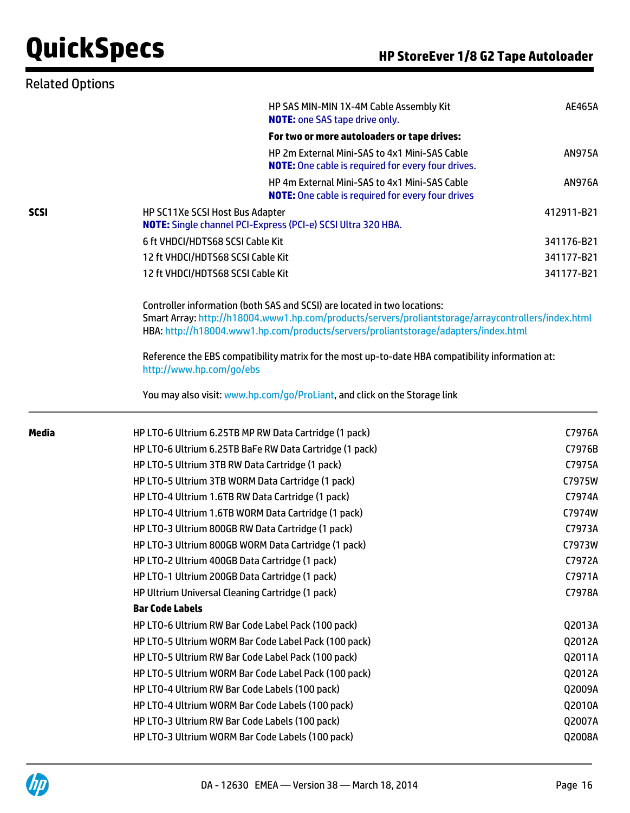| <b>Related Options</b> |                                                                                                 |                                                                                                                                                                                                                                                                                                |               |
|------------------------|-------------------------------------------------------------------------------------------------|------------------------------------------------------------------------------------------------------------------------------------------------------------------------------------------------------------------------------------------------------------------------------------------------|---------------|
|                        |                                                                                                 | HP SAS MIN-MIN 1X-4M Cable Assembly Kit<br><b>NOTE:</b> one SAS tape drive only.                                                                                                                                                                                                               | <b>AE465A</b> |
|                        |                                                                                                 | For two or more autoloaders or tape drives:                                                                                                                                                                                                                                                    |               |
|                        |                                                                                                 | HP 2m External Mini-SAS to 4x1 Mini-SAS Cable<br><b>NOTE:</b> One cable is required for every four drives.                                                                                                                                                                                     | <b>AN975A</b> |
|                        |                                                                                                 | HP 4m External Mini-SAS to 4x1 Mini-SAS Cable<br><b>NOTE:</b> One cable is required for every four drives                                                                                                                                                                                      | <b>AN976A</b> |
| <b>SCSI</b>            | HP SC11Xe SCSI Host Bus Adapter<br>NOTE: Single channel PCI-Express (PCI-e) SCSI Ultra 320 HBA. |                                                                                                                                                                                                                                                                                                | 412911-B21    |
|                        | 6 ft VHDCI/HDTS68 SCSI Cable Kit                                                                |                                                                                                                                                                                                                                                                                                | 341176-B21    |
|                        | 12 ft VHDCI/HDTS68 SCSI Cable Kit                                                               |                                                                                                                                                                                                                                                                                                | 341177-B21    |
|                        | 12 ft VHDCI/HDTS68 SCSI Cable Kit                                                               |                                                                                                                                                                                                                                                                                                | 341177-B21    |
|                        | Controller information (both SAS and SCSI) are located in two locations:                        | Smart Array: http://h18004.www1.hp.com/products/servers/proliantstorage/arraycontrollers/index.html<br>HBA: http://h18004.www1.hp.com/products/servers/proliantstorage/adapters/index.html<br>Reference the EBS compatibility matrix for the most up-to-date HBA compatibility information at: |               |
|                        | http://www.hp.com/go/ebs                                                                        |                                                                                                                                                                                                                                                                                                |               |
|                        | You may also visit: www.hp.com/go/ProLiant, and click on the Storage link                       |                                                                                                                                                                                                                                                                                                |               |
| <b>Media</b>           | HP LTO-6 Ultrium 6.25TB MP RW Data Cartridge (1 pack)                                           |                                                                                                                                                                                                                                                                                                | C7976A        |
|                        | HP LTO-6 Ultrium 6.25TB BaFe RW Data Cartridge (1 pack)                                         |                                                                                                                                                                                                                                                                                                | C7976B        |
|                        | HP LTO-5 Ultrium 3TB RW Data Cartridge (1 pack)                                                 |                                                                                                                                                                                                                                                                                                | C7975A        |
|                        | HP LTO-5 Ultrium 3TB WORM Data Cartridge (1 pack)                                               |                                                                                                                                                                                                                                                                                                | C7975W        |
|                        | HP LTO-4 Ultrium 1.6TB RW Data Cartridge (1 pack)                                               |                                                                                                                                                                                                                                                                                                | C7974A        |
|                        | HP LTO-4 Ultrium 1.6TB WORM Data Cartridge (1 pack)                                             |                                                                                                                                                                                                                                                                                                | C7974W        |
|                        | HP LTO-3 Ultrium 800GB RW Data Cartridge (1 pack)                                               |                                                                                                                                                                                                                                                                                                | C7973A        |
|                        | HP LTO-3 Ultrium 800GB WORM Data Cartridge (1 pack)                                             |                                                                                                                                                                                                                                                                                                | C7973W        |
|                        | HP LTO-2 Ultrium 400GB Data Cartridge (1 pack)                                                  |                                                                                                                                                                                                                                                                                                | C7972A        |
|                        | HP LTO-1 Ultrium 200GB Data Cartridge (1 pack)                                                  |                                                                                                                                                                                                                                                                                                | C7971A        |
|                        | HP Ultrium Universal Cleaning Cartridge (1 pack)                                                |                                                                                                                                                                                                                                                                                                | C7978A        |
|                        | <b>Bar Code Labels</b>                                                                          |                                                                                                                                                                                                                                                                                                |               |
|                        | HP LTO-6 Ultrium RW Bar Code Label Pack (100 pack)                                              |                                                                                                                                                                                                                                                                                                | Q2013A        |
|                        | HP LTO-5 Ultrium WORM Bar Code Label Pack (100 pack)                                            |                                                                                                                                                                                                                                                                                                | Q2012A        |
|                        | HP LTO-5 Ultrium RW Bar Code Label Pack (100 pack)                                              |                                                                                                                                                                                                                                                                                                | Q2011A        |
|                        | HP LTO-5 Ultrium WORM Bar Code Label Pack (100 pack)                                            |                                                                                                                                                                                                                                                                                                | Q2012A        |
|                        | HP LTO-4 Ultrium RW Bar Code Labels (100 pack)                                                  |                                                                                                                                                                                                                                                                                                | Q2009A        |
|                        | HP LTO-4 Ultrium WORM Bar Code Labels (100 pack)                                                |                                                                                                                                                                                                                                                                                                | Q2010A        |
|                        | HP LTO-3 Ultrium RW Bar Code Labels (100 pack)                                                  |                                                                                                                                                                                                                                                                                                | Q2007A        |
|                        | HP LTO-3 Ultrium WORM Bar Code Labels (100 pack)                                                |                                                                                                                                                                                                                                                                                                | Q2008A        |

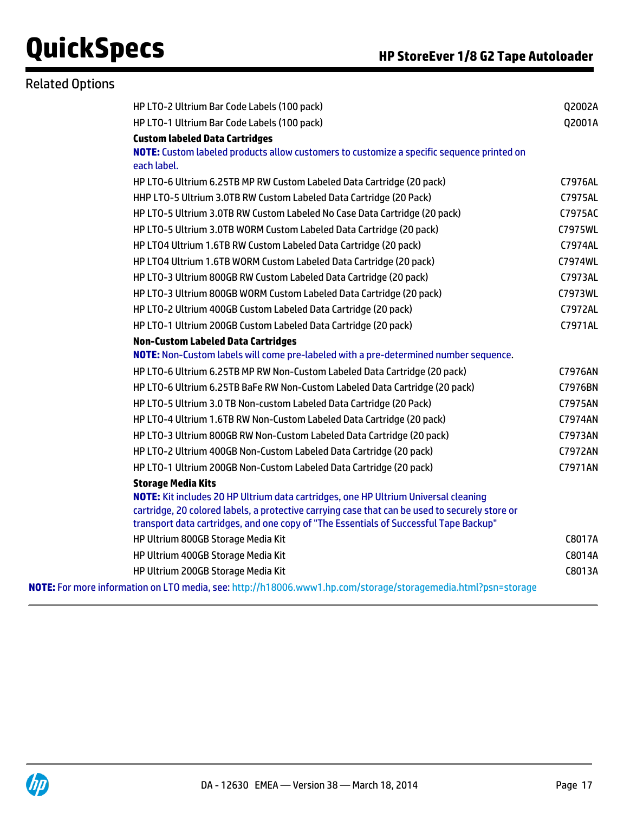| <b>Related Options</b> |                                                                                                                                                                                         |                |
|------------------------|-----------------------------------------------------------------------------------------------------------------------------------------------------------------------------------------|----------------|
|                        | HP LTO-2 Ultrium Bar Code Labels (100 pack)                                                                                                                                             | Q2002A         |
|                        | HP LTO-1 Ultrium Bar Code Labels (100 pack)                                                                                                                                             | Q2001A         |
|                        | <b>Custom labeled Data Cartridges</b>                                                                                                                                                   |                |
|                        | NOTE: Custom labeled products allow customers to customize a specific sequence printed on<br>each label.                                                                                |                |
|                        | HP LTO-6 Ultrium 6.25TB MP RW Custom Labeled Data Cartridge (20 pack)                                                                                                                   | C7976AL        |
|                        | HHP LTO-5 Ultrium 3.0TB RW Custom Labeled Data Cartridge (20 Pack)                                                                                                                      | C7975AL        |
|                        | HP LTO-5 Ultrium 3.0TB RW Custom Labeled No Case Data Cartridge (20 pack)                                                                                                               | C7975AC        |
|                        | HP LTO-5 Ultrium 3.0TB WORM Custom Labeled Data Cartridge (20 pack)                                                                                                                     | C7975WL        |
|                        | HP LT04 Ultrium 1.6TB RW Custom Labeled Data Cartridge (20 pack)                                                                                                                        | C7974AL        |
|                        | HP LT04 Ultrium 1.6TB WORM Custom Labeled Data Cartridge (20 pack)                                                                                                                      | C7974WL        |
|                        | HP LTO-3 Ultrium 800GB RW Custom Labeled Data Cartridge (20 pack)                                                                                                                       | C7973AL        |
|                        | HP LTO-3 Ultrium 800GB WORM Custom Labeled Data Cartridge (20 pack)                                                                                                                     | C7973WL        |
|                        | HP LTO-2 Ultrium 400GB Custom Labeled Data Cartridge (20 pack)                                                                                                                          | C7972AL        |
|                        | HP LTO-1 Ultrium 200GB Custom Labeled Data Cartridge (20 pack)                                                                                                                          | C7971AL        |
|                        | <b>Non-Custom Labeled Data Cartridges</b>                                                                                                                                               |                |
|                        | NOTE: Non-Custom labels will come pre-labeled with a pre-determined number sequence.                                                                                                    |                |
|                        | HP LTO-6 Ultrium 6.25TB MP RW Non-Custom Labeled Data Cartridge (20 pack)                                                                                                               | C7976AN        |
|                        | HP LTO-6 Ultrium 6.25TB BaFe RW Non-Custom Labeled Data Cartridge (20 pack)                                                                                                             | C7976BN        |
|                        | HP LTO-5 Ultrium 3.0 TB Non-custom Labeled Data Cartridge (20 Pack)                                                                                                                     | C7975AN        |
|                        | HP LTO-4 Ultrium 1.6TB RW Non-Custom Labeled Data Cartridge (20 pack)                                                                                                                   | C7974AN        |
|                        | HP LTO-3 Ultrium 800GB RW Non-Custom Labeled Data Cartridge (20 pack)                                                                                                                   | C7973AN        |
|                        | HP LTO-2 Ultrium 400GB Non-Custom Labeled Data Cartridge (20 pack)                                                                                                                      | <b>C7972AN</b> |
|                        | HP LTO-1 Ultrium 200GB Non-Custom Labeled Data Cartridge (20 pack)                                                                                                                      | C7971AN        |
|                        | <b>Storage Media Kits</b>                                                                                                                                                               |                |
|                        | NOTE: Kit includes 20 HP Ultrium data cartridges, one HP Ultrium Universal cleaning                                                                                                     |                |
|                        | cartridge, 20 colored labels, a protective carrying case that can be used to securely store or<br>transport data cartridges, and one copy of "The Essentials of Successful Tape Backup" |                |
|                        | HP Ultrium 800GB Storage Media Kit                                                                                                                                                      | C8017A         |
|                        | HP Ultrium 400GB Storage Media Kit                                                                                                                                                      | C8014A         |
|                        | HP Ultrium 200GB Storage Media Kit                                                                                                                                                      | C8013A         |
|                        | NOTE: For more information on LTO media, see: http://h18006.www1.hp.com/storage/storagemedia.html?psn=storage                                                                           |                |

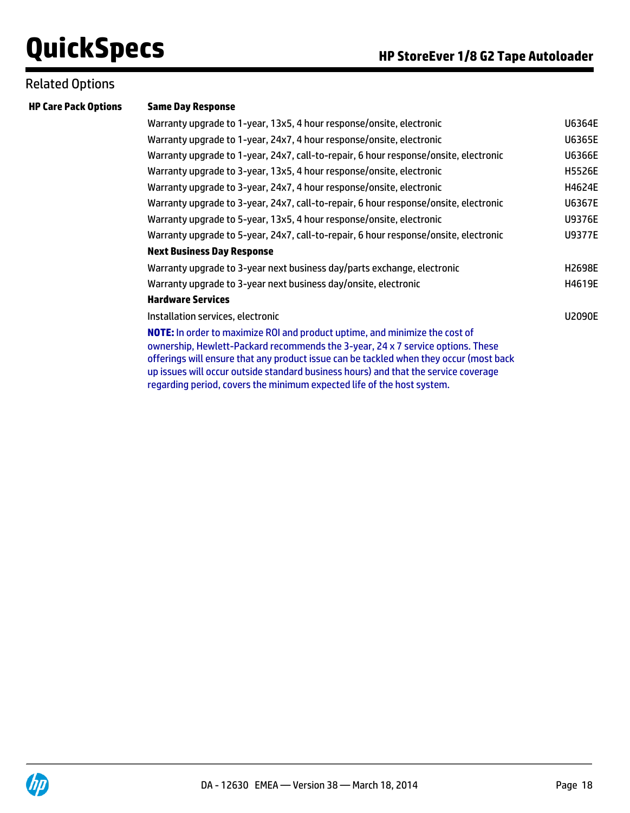### Related Options

#### **Same Day Response**

| Warranty upgrade to 1-year, 13x5, 4 hour response/onsite, electronic                                                                                                                                                                                                                                                                            | U6364E        |
|-------------------------------------------------------------------------------------------------------------------------------------------------------------------------------------------------------------------------------------------------------------------------------------------------------------------------------------------------|---------------|
| Warranty upgrade to 1-year, 24x7, 4 hour response/onsite, electronic                                                                                                                                                                                                                                                                            | U6365E        |
| Warranty upgrade to 1-year, 24x7, call-to-repair, 6 hour response/onsite, electronic                                                                                                                                                                                                                                                            | U6366E        |
| Warranty upgrade to 3-year, 13x5, 4 hour response/onsite, electronic                                                                                                                                                                                                                                                                            | <b>H5526E</b> |
| Warranty upgrade to 3-year, 24x7, 4 hour response/onsite, electronic                                                                                                                                                                                                                                                                            | H4624E        |
| Warranty upgrade to 3-year, 24x7, call-to-repair, 6 hour response/onsite, electronic                                                                                                                                                                                                                                                            | U6367E        |
| Warranty upgrade to 5-year, 13x5, 4 hour response/onsite, electronic                                                                                                                                                                                                                                                                            | <b>U9376E</b> |
| Warranty upgrade to 5-year, 24x7, call-to-repair, 6 hour response/onsite, electronic                                                                                                                                                                                                                                                            | <b>U9377E</b> |
| <b>Next Business Day Response</b>                                                                                                                                                                                                                                                                                                               |               |
| Warranty upgrade to 3-year next business day/parts exchange, electronic                                                                                                                                                                                                                                                                         | H2698E        |
| Warranty upgrade to 3-year next business day/onsite, electronic                                                                                                                                                                                                                                                                                 | H4619E        |
| <b>Hardware Services</b>                                                                                                                                                                                                                                                                                                                        |               |
| Installation services, electronic                                                                                                                                                                                                                                                                                                               | <b>U2090E</b> |
| NOTE: In order to maximize ROI and product uptime, and minimize the cost of<br>ownership, Hewlett-Packard recommends the 3-year, 24 x 7 service options. These<br>offerings will ensure that any product issue can be tackled when they occur (most back<br>up issues will occur outside standard business hours) and that the service coverage |               |

regarding period, covers the minimum expected life of the host system.

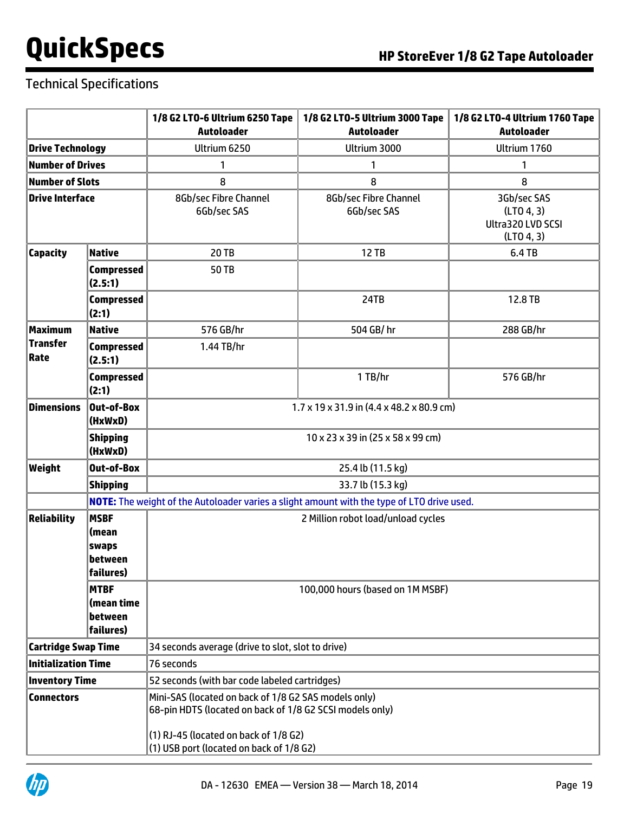## Technical Specifications

|                            |                                                                                 | 1/8 G2 LTO-6 Ultrium 6250 Tape                                                                                                                                | 1/8 G2 LTO-5 Ultrium 3000 Tape                                                             | 1/8 G2 LTO-4 Ultrium 1760 Tape                               |  |
|----------------------------|---------------------------------------------------------------------------------|---------------------------------------------------------------------------------------------------------------------------------------------------------------|--------------------------------------------------------------------------------------------|--------------------------------------------------------------|--|
|                            |                                                                                 | <b>Autoloader</b>                                                                                                                                             | <b>Autoloader</b>                                                                          | <b>Autoloader</b>                                            |  |
| <b>Drive Technology</b>    |                                                                                 | Ultrium 6250                                                                                                                                                  | Ultrium 3000                                                                               | Ultrium 1760                                                 |  |
|                            | <b>Number of Drives</b><br>1<br>1<br>1                                          |                                                                                                                                                               |                                                                                            |                                                              |  |
| <b>Number of Slots</b>     |                                                                                 | 8                                                                                                                                                             | 8                                                                                          | 8                                                            |  |
| <b>Drive Interface</b>     |                                                                                 | 8Gb/sec Fibre Channel<br>6Gb/sec SAS                                                                                                                          | 8Gb/sec Fibre Channel<br>6Gb/sec SAS                                                       | 3Gb/sec SAS<br>(LTO 4, 3)<br>Ultra320 LVD SCSI<br>(LTO 4, 3) |  |
| <b>Capacity</b>            | <b>Native</b>                                                                   | <b>20 TB</b>                                                                                                                                                  | 12 TB                                                                                      | 6.4 TB                                                       |  |
|                            | <b>Compressed</b><br>(2.5:1)                                                    | 50 TB                                                                                                                                                         |                                                                                            |                                                              |  |
|                            | <b>Compressed</b><br>(2:1)                                                      |                                                                                                                                                               | 24TB                                                                                       | 12.8 TB                                                      |  |
| <b>Maximum</b>             | <b>Native</b>                                                                   | 576 GB/hr                                                                                                                                                     | 504 GB/hr                                                                                  | 288 GB/hr                                                    |  |
| <b>Transfer</b><br>Rate    | <b>Compressed</b><br>(2.5:1)                                                    | 1.44 TB/hr                                                                                                                                                    |                                                                                            |                                                              |  |
|                            | <b>Compressed</b><br>(2:1)                                                      |                                                                                                                                                               | 1 TB/hr                                                                                    | 576 GB/hr                                                    |  |
| <b>Dimensions</b>          | Out-of-Box<br>(HxWxD)                                                           | $1.7 \times 19 \times 31.9$ in (4.4 x 48.2 x 80.9 cm)                                                                                                         |                                                                                            |                                                              |  |
|                            | <b>Shipping</b><br>(HxWxD)                                                      | 10 x 23 x 39 in (25 x 58 x 99 cm)                                                                                                                             |                                                                                            |                                                              |  |
| Weight                     | <b>Out-of-Box</b>                                                               | 25.4 lb (11.5 kg)                                                                                                                                             |                                                                                            |                                                              |  |
|                            | <b>Shipping</b>                                                                 | 33.7 lb (15.3 kg)                                                                                                                                             |                                                                                            |                                                              |  |
|                            |                                                                                 |                                                                                                                                                               | NOTE: The weight of the Autoloader varies a slight amount with the type of LTO drive used. |                                                              |  |
| <b>Reliability</b>         | <b>MSBF</b><br>(mean<br><b>swaps</b><br>between<br>failures)                    | 2 Million robot load/unload cycles                                                                                                                            |                                                                                            |                                                              |  |
|                            | MTBF<br>(mean time<br>between<br>failures)                                      | 100,000 hours (based on 1M MSBF)                                                                                                                              |                                                                                            |                                                              |  |
|                            | <b>Cartridge Swap Time</b><br>34 seconds average (drive to slot, slot to drive) |                                                                                                                                                               |                                                                                            |                                                              |  |
| <b>Initialization Time</b> |                                                                                 | 76 seconds                                                                                                                                                    |                                                                                            |                                                              |  |
| <b>Inventory Time</b>      |                                                                                 | 52 seconds (with bar code labeled cartridges)                                                                                                                 |                                                                                            |                                                              |  |
| <b>Connectors</b>          |                                                                                 | Mini-SAS (located on back of 1/8 G2 SAS models only)<br>68-pin HDTS (located on back of 1/8 G2 SCSI models only)<br>$(1)$ RJ-45 (located on back of $1/8$ G2) |                                                                                            |                                                              |  |
|                            |                                                                                 | (1) USB port (located on back of 1/8 G2)                                                                                                                      |                                                                                            |                                                              |  |